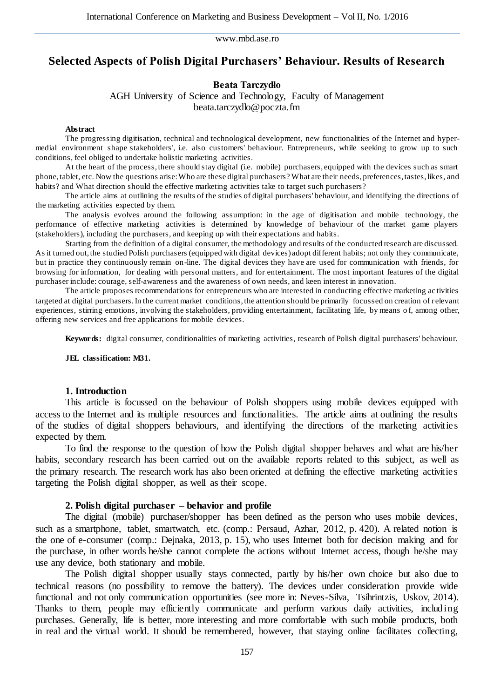# **Selected Aspects of Polish Digital Purchasers' Behaviour. Results of Research**

## **Beata Tarczydło**

AGH University of Science and Technology, Faculty of Management beata.tarczydlo@poczta.fm

#### **Abstract**

The progressing digitisation, technical and technological development, new functionalities of the Internet and hypermedial environment shape stakeholders', i.e. also customers' behaviour. Entrepreneurs, while seeking to grow up to such conditions, feel obliged to undertake holistic marketing activities.

At the heart of the process, there should stay digital (i.e. mobile) purchasers, equipped with the devices such as smart phone, tablet, etc. Now the questions arise: Who are these digital purchasers? What are their needs, preferences, tastes, likes, and habits? and What direction should the effective marketing activities take to target such purchasers?

The article aims at outlining the results of the studies of digital purchasers' behaviour, and identifying the directions of the marketing activities expected by them.

The analysis evolves around the following assumption: in the age of digitisation and mobile technology, the performance of effective marketing activities is determined by knowledge of behaviour of the market game players (stakeholders), including the purchasers, and keeping up with their expectations and habits.

Starting from the definition of a digital consumer, the methodology and results of the conducted research are discussed. As it turned out, the studied Polish purchasers (equipped with digital devices) adopt different habits; not only they communicate, but in practice they continuously remain on-line. The digital devices they have are used for communication with friends, for browsing for information, for dealing with personal matters, and for entertainment. The most important features of the digital purchaser include: courage, self-awareness and the awareness of own needs, and keen interest in innovation.

The article proposes recommendations for entrepreneurs who are interested in conducting effective marketing ac tivities targeted at digital purchasers. In the current market conditions, the attention should be primarily focussed on creation of relevant experiences, stirring emotions, involving the stakeholders, providing entertainment, facilitating life, by means o f, among other, offering new services and free applications for mobile devices.

**Keywords:** digital consumer, conditionalities of marketing activities, research of Polish digital purchasers' behaviour.

**JEL classification: M31.**

### **1. Introduction**

This article is focussed on the behaviour of Polish shoppers using mobile devices equipped with access to the Internet and its multiple resources and functionalities. The article aims at outlining the results of the studies of digital shoppers behaviours, and identifying the directions of the marketing activities expected by them.

To find the response to the question of how the Polish digital shopper behaves and what are his/her habits, secondary research has been carried out on the available reports related to this subject, as well as the primary research. The research work has also been oriented at defining the effective marketing activities targeting the Polish digital shopper, as well as their scope.

#### **2. Polish digital purchaser – behavior and profile**

The digital (mobile) purchaser/shopper has been defined as the person who uses mobile devices, such as a smartphone, tablet, smartwatch, etc. (comp.: Persaud, Azhar, 2012, p. 420). A related notion is the one of e-consumer (comp.: Dejnaka, 2013, p. 15), who uses Internet both for decision making and for the purchase, in other words he/she cannot complete the actions without Internet access, though he/she may use any device, both stationary and mobile.

The Polish digital shopper usually stays connected, partly by his/her own choice but also due to technical reasons (no possibility to remove the battery). The devices under consideration provide wide functional and not only communication opportunities (see more in: Neves-Silva, Tsihrintzis, Uskov, 2014). Thanks to them, people may efficiently communicate and perform various daily activities, including purchases. Generally, life is better, more interesting and more comfortable with such mobile products, both in real and the virtual world. It should be remembered, however, that staying online facilitates collecting,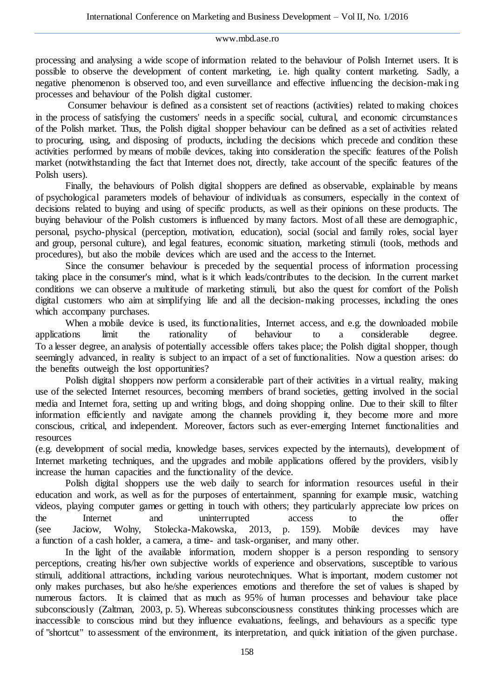processing and analysing a wide scope of information related to the behaviour of Polish Internet users. It is possible to observe the development of content marketing, i.e. high quality content marketing. Sadly, a negative phenomenon is observed too, and even surveillance and effective influencing the decision-making processes and behaviour of the Polish digital customer.

Consumer behaviour is defined as a consistent set of reactions (activities) related to making choices in the process of satisfying the customers' needs in a specific social, cultural, and economic circumstances of the Polish market. Thus, the Polish digital shopper behaviour can be defined as a set of activities related to procuring, using, and disposing of products, including the decisions which precede and condition these activities performed by means of mobile devices, taking into consideration the specific features of the Polish market (notwithstanding the fact that Internet does not, directly, take account of the specific features of the Polish users).

Finally, the behaviours of Polish digital shoppers are defined as observable, explainable by means of psychological parameters models of behaviour of individuals as consumers, especially in the context of decisions related to buying and using of specific products, as well as their opinions on these products. The buying behaviour of the Polish customers is influenced by many factors. Most of all these are demographic, personal, psycho-physical (perception, motivation, education), social (social and family roles, social layer and group, personal culture), and legal features, economic situation, marketing stimuli (tools, methods and procedures), but also the mobile devices which are used and the access to the Internet.

Since the consumer behaviour is preceded by the sequential process of information processing taking place in the consumer's mind, what is it which leads/contributes to the decision. In the current market conditions we can observe a multitude of marketing stimuli, but also the quest for comfort of the Polish digital customers who aim at simplifying life and all the decision-making processes, including the ones which accompany purchases.

When a mobile device is used, its functionalities, Internet access, and e.g. the downloaded mobile ions limit the rationality of behaviour to a considerable degree. applications limit the rationality of behaviour to a considerable degree. To a lesser degree, an analysis of potentially accessible offers takes place; the Polish digital shopper, though seemingly advanced, in reality is subject to an impact of a set of functionalities. Now a question arises: do the benefits outweigh the lost opportunities?

Polish digital shoppers now perform a considerable part of their activities in a virtual reality, making use of the selected Internet resources, becoming members of brand societies, getting involved in the social media and Internet fora, setting up and writing blogs, and doing shopping online. Due to their skill to filter information efficiently and navigate among the channels providing it, they become more and more conscious, critical, and independent. Moreover, factors such as ever-emerging Internet functionalities and resources

(e.g. development of social media, knowledge bases, services expected by the internauts), development of Internet marketing techniques, and the upgrades and mobile applications offered by the providers, visibly increase the human capacities and the functionality of the device.

Polish digital shoppers use the web daily to search for information resources useful in their education and work, as well as for the purposes of entertainment, spanning for example music, watching videos, playing computer games or getting in touch with others; they particularly appreciate low prices on the Internet and uninterrupted access to the offer (see Jaciow, Wolny, Stolecka-Makowska, 2013, p. 159). Mobile devices may have a function of a cash holder, a camera, a time- and task-organiser, and many other.

In the light of the available information, modern shopper is a person responding to sensory perceptions, creating his/her own subjective worlds of experience and observations, susceptible to various stimuli, additional attractions, including various neurotechniques. What is important, modern customer not only makes purchases, but also he/she experiences emotions and therefore the set of values is shaped by numerous factors. It is claimed that as much as 95% of human processes and behaviour take place subconsciously (Zaltman, 2003, p. 5). Whereas subconsciousness constitutes thinking processes which are inaccessible to conscious mind but they influence evaluations, feelings, and behaviours as a specific type of "shortcut" to assessment of the environment, its interpretation, and quick initiation of the given purchase.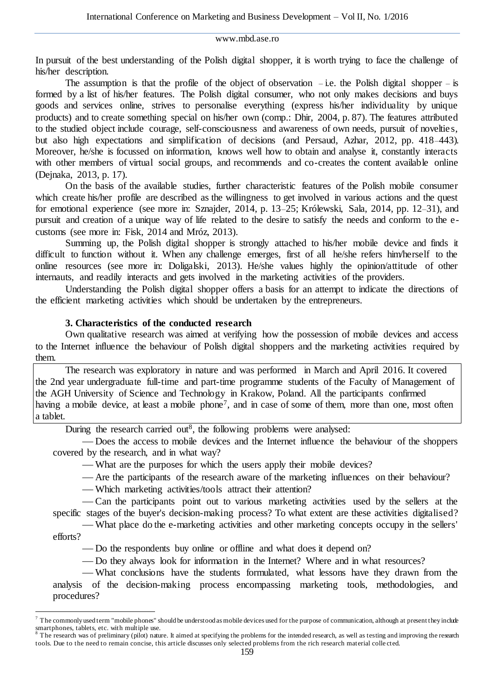In pursuit of the best understanding of the Polish digital shopper, it is worth trying to face the challenge of his/her description.

The assumption is that the profile of the object of observation – i.e. the Polish digital shopper – is formed by a list of his/her features. The Polish digital consumer, who not only makes decisions and buys goods and services online, strives to personalise everything (express his/her individuality by unique products) and to create something special on his/her own (comp.: Dhir, 2004, p. 87). The features attributed to the studied object include courage, self-consciousness and awareness of own needs, pursuit of novelties, but also high expectations and simplification of decisions (and Persaud, Azhar, 2012, pp. 418–443). Moreover, he/she is focussed on information, knows well how to obtain and analyse it, constantly interacts with other members of virtual social groups, and recommends and co-creates the content available online (Dejnaka, 2013, p. 17).

On the basis of the available studies, further characteristic features of the Polish mobile consumer which create his/her profile are described as the willingness to get involved in various actions and the quest for emotional experience (see more in: Sznajder, 2014, p. 13–25; Królewski, Sala, 2014, pp. 12–31), and pursuit and creation of a unique way of life related to the desire to satisfy the needs and conform to the ecustoms (see more in: Fisk, 2014 and Mróz, 2013).

Summing up, the Polish digital shopper is strongly attached to his/her mobile device and finds it difficult to function without it. When any challenge emerges, first of all he/she refers him/herself to the online resources (see more in: Doligalski, 2013). He/she values highly the opinion/attitude of other internauts, and readily interacts and gets involved in the marketing activities of the providers.

Understanding the Polish digital shopper offers a basis for an attempt to indicate the directions of the efficient marketing activities which should be undertaken by the entrepreneurs.

# **3. Characteristics of the conducted research**

 $\overline{a}$ 

Own qualitative research was aimed at verifying how the possession of mobile devices and access to the Internet influence the behaviour of Polish digital shoppers and the marketing activities required by them.

The research was exploratory in nature and was performed in March and April 2016. It covered the 2nd year undergraduate full-time and part-time programme students of the Faculty of Management of the AGH University of Science and Technology in Krakow, Poland. All the participants confirmed having a mobile device, at least a mobile phone<sup>7</sup>, and in case of some of them, more than one, most often a tablet.

During the research carried out<sup>8</sup>, the following problems were analysed:

 Does the access to mobile devices and the Internet influence the behaviour of the shoppers covered by the research, and in what way?

What are the purposes for which the users apply their mobile devices?

Are the participants of the research aware of the marketing influences on their behaviour?

Which marketing activities/tools attract their attention?

 Can the participants point out to various marketing activities used by the sellers at the specific stages of the buyer's decision-making process? To what extent are these activities digitalised?

 What place do the e-marketing activities and other marketing concepts occupy in the sellers' efforts?

— Do the respondents buy online or offline and what does it depend on?

Do they always look for information in the Internet? Where and in what resources?

 What conclusions have the students formulated, what lessons have they drawn from the analysis of the decision-making process encompassing marketing tools, methodologies, and procedures?

 $^7$  The commonly used term "mobile phones" should be understood as mobile devices used for the purpose of communication, although at present they include smartphones, tablets, etc. with multiple use.<br><sup>8</sup> The research was of preliminary (pilot) nature. It aimed at specifying the problems for the intended research, as well as testing and improving the research

tools. Due to the need to remain concise, this article discusses only selected problems from the rich research material colle cted.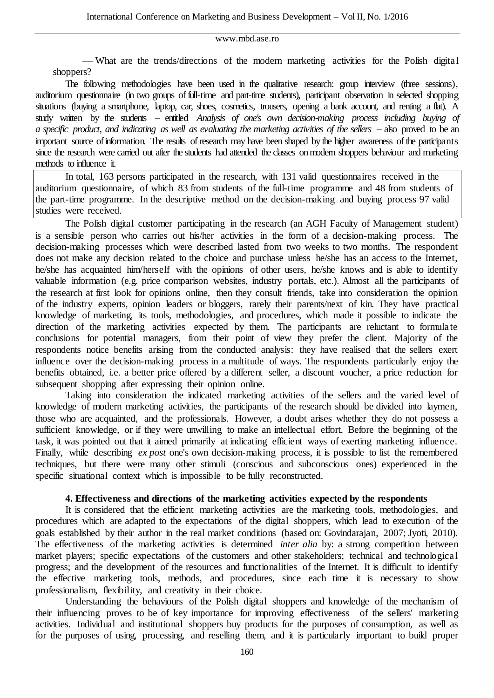What are the trends/directions of the modern marketing activities for the Polish digital shoppers?

The following methodologies have been used in the qualitative research: group interview (three sessions), auditorium questionnaire (in two groups of full-time and part-time students), participant observation in selected shopping situations (buying a smartphone, laptop, car, shoes, cosmetics, trousers, opening a bank account, and renting a flat). A study written by the students – entitled *Analysis of one's own decision-making process including buying of a specific product, and indicating as well as evaluating the marketing activities of the sellers* **–** also proved to be an important source of information. The results of research may have been shaped by the higher awareness of the participants since the research were carried out after the students had attended the classes on modern shoppers behaviour and marketing methods to influence it.

In total, 163 persons participated in the research, with 131 valid questionnaires received in the auditorium questionnaire, of which 83 from students of the full-time programme and 48 from students of the part-time programme. In the descriptive method on the decision-making and buying process 97 valid studies were received.

The Polish digital customer participating in the research (an AGH Faculty of Management student) is a sensible person who carries out his/her activities in the form of a decision-making process. The decision-making processes which were described lasted from two weeks to two months. The respondent does not make any decision related to the choice and purchase unless he/she has an access to the Internet, he/she has acquainted him/herself with the opinions of other users, he/she knows and is able to identify valuable information (e.g. price comparison websites, industry portals, etc.). Almost all the participants of the research at first look for opinions online, then they consult friends, take into consideration the opinion of the industry experts, opinion leaders or bloggers, rarely their parents/next of kin. They have practical knowledge of marketing, its tools, methodologies, and procedures, which made it possible to indicate the direction of the marketing activities expected by them. The participants are reluctant to formulate conclusions for potential managers, from their point of view they prefer the client. Majority of the respondents notice benefits arising from the conducted analysis: they have realised that the sellers exert influence over the decision-making process in a multitude of ways. The respondents particularly enjoy the benefits obtained, i.e. a better price offered by a different seller, a discount voucher, a price reduction for subsequent shopping after expressing their opinion online.

Taking into consideration the indicated marketing activities of the sellers and the varied level of knowledge of modern marketing activities, the participants of the research should be divided into laymen, those who are acquainted, and the professionals. However, a doubt arises whether they do not possess a sufficient knowledge, or if they were unwilling to make an intellectual effort. Before the beginning of the task, it was pointed out that it aimed primarily at indicating efficient ways of exerting marketing influence. Finally, while describing *ex post* one's own decision-making process, it is possible to list the remembered techniques, but there were many other stimuli (conscious and subconscious ones) experienced in the specific situational context which is impossible to be fully reconstructed.

# **4. Effectiveness and directions of the marketing activities expected by the respondents**

It is considered that the efficient marketing activities are the marketing tools, methodologies, and procedures which are adapted to the expectations of the digital shoppers, which lead to execution of the goals established by their author in the real market conditions (based on: Govindarajan, 2007; Jyoti, 2010). The effectiveness of the marketing activities is determined *inter alia* by: a strong competition between market players; specific expectations of the customers and other stakeholders; technical and technological progress; and the development of the resources and functionalities of the Internet. It is difficult to identify the effective marketing tools, methods, and procedures, since each time it is necessary to show professionalism, flexibility, and creativity in their choice.

Understanding the behaviours of the Polish digital shoppers and knowledge of the mechanism of their influencing proves to be of key importance for improving effectiveness of the sellers' marketing activities. Individual and institutional shoppers buy products for the purposes of consumption, as well as for the purposes of using, processing, and reselling them, and it is particularly important to build proper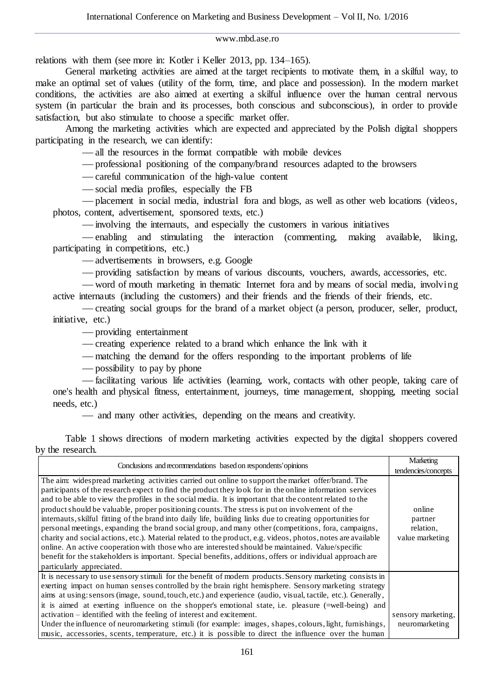relations with them (see more in: Kotler i Keller 2013, pp. 134–165).

General marketing activities are aimed at the target recipients to motivate them, in a skilful way, to make an optimal set of values (utility of the form, time, and place and possession). In the modern market conditions, the activities are also aimed at exerting a skilful influence over the human central nervous system (in particular the brain and its processes, both conscious and subconscious), in order to provide satisfaction, but also stimulate to choose a specific market offer.

Among the marketing activities which are expected and appreciated by the Polish digital shoppers participating in the research, we can identify:

all the resources in the format compatible with mobile devices

professional positioning of the company/brand resources adapted to the browsers

careful communication of the high-value content

social media profiles, especially the FB

 placement in social media, industrial fora and blogs, as well as other web locations (videos, photos, content, advertisement, sponsored texts, etc.)

involving the internauts, and especially the customers in various initiatives

 enabling and stimulating the interaction (commenting, making available, liking, participating in competitions, etc.)

advertisements in browsers, e.g. Google

providing satisfaction by means of various discounts, vouchers, awards, accessories, etc.

 word of mouth marketing in thematic Internet fora and by means of social media, involving active internauts (including the customers) and their friends and the friends of their friends, etc.

 creating social groups for the brand of a market object (a person, producer, seller, product, initiative, etc.)

providing entertainment

creating experience related to a brand which enhance the link with it

matching the demand for the offers responding to the important problems of life

possibility to pay by phone

 facilitating various life activities (learning, work, contacts with other people, taking care of one's health and physical fitness, entertainment, journeys, time management, shopping, meeting social needs, etc.)

and many other activities, depending on the means and creativity.

Table 1 shows directions of modern marketing activities expected by the digital shoppers covered by the research.

| Conclusions and recommendations based on respondents' opinions                                               | Marketing           |
|--------------------------------------------------------------------------------------------------------------|---------------------|
|                                                                                                              | tendencies/concepts |
| The aim: widespread marketing activities carried out online to support the market offer/brand. The           |                     |
| participants of the research expect to find the product they look for in the online information services     |                     |
| and to be able to view the profiles in the social media. It is important that the content related to the     |                     |
| product should be valuable, proper positioning counts. The stress is put on involvement of the               | online              |
| internauts, skilful fitting of the brand into daily life, building links due to creating opportunities for   | partner             |
| personal meetings, expanding the brand social group, and many other (competitions, fora, campaigns,          | relation.           |
| charity and social actions, etc.). Material related to the product, e.g. videos, photos, notes are available | value marketing     |
| online. An active cooperation with those who are interested should be maintained. Value/specific             |                     |
| benefit for the stakeholders is important. Special benefits, additions, offers or individual approach are    |                     |
| particularly appreciated.                                                                                    |                     |
| It is necessary to use sensory stimuli for the benefit of modern products. Sensory marketing consists in     |                     |
| exerting impact on human senses controlled by the brain right hemisphere. Sensory marketing strategy         |                     |
| aims at using: sensors (image, sound, touch, etc.) and experience (audio, visual, tactile, etc.). Generally, |                     |
| it is aimed at exerting influence on the shopper's emotional state, i.e. pleasure (=well-being) and          |                     |
| activation – identified with the feeling of interest and excitement.                                         | sensory marketing,  |
| Under the influence of neuromarketing stimuli (for example: images, shapes, colours, light, furnishings,     | neuromarketing      |
| music, accessories, scents, temperature, etc.) it is possible to direct the influence over the human         |                     |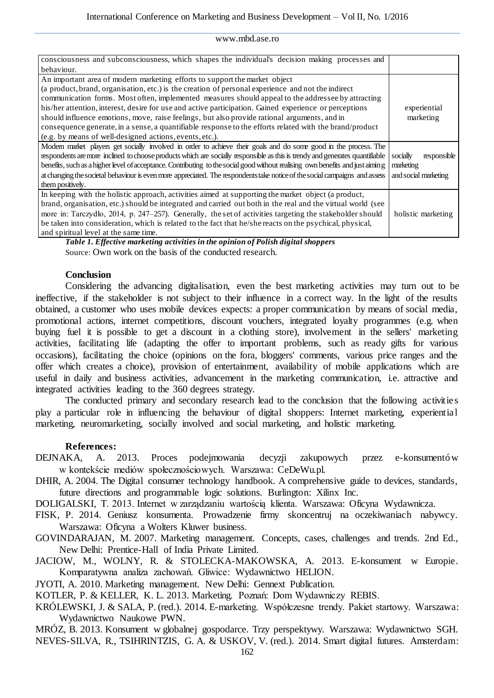| consciousness and subconsciousness, which shapes the individual's decision making processes and                                 |                         |
|---------------------------------------------------------------------------------------------------------------------------------|-------------------------|
| behaviour.                                                                                                                      |                         |
| An important area of modern marketing efforts to support the market object                                                      |                         |
| (a product, brand, organisation, etc.) is the creation of personal experience and not the indirect                              |                         |
| communication forms. Most often, implemented measures should appeal to the addressee by attracting                              |                         |
| his/her attention, interest, desire for use and active participation. Gained experience or perceptions                          | experiential            |
| should influence emotions, move, raise feelings, but also provide rational arguments, and in                                    | marketing               |
| consequence generate, in a sense, a quantifiable response to the efforts related with the brand/product                         |                         |
| (e.g. by means of well-designed actions, events, etc.).                                                                         |                         |
| Modem market players get socially involved in order to achieve their goals and do some good in the process. The                 |                         |
| respondents are more inclined to choose products which are socially responsible as this is trendy and generates quantifiable    | responsible<br>socially |
| benefits, such as a higher level of acceptance. Contributing to the social good without realising own benefits and just airring | marketing               |
| at changing the societal behaviour is even more appreciated. The respondents take notice of the social campaigns and assess     | and social marketing    |
| them positively.                                                                                                                |                         |
| In keeping with the holistic approach, activities aimed at supporting the market object (a product,                             |                         |
| brand, organisation, etc.) should be integrated and carried out both in the real and the virtual world (see                     |                         |
| more in: Tarczydło, 2014, p. 247–257). Generally, the set of activities targeting the stakeholder should                        | holistic marketing      |
| be taken into consideration, which is related to the fact that he/she reacts on the psychical, physical,                        |                         |
| and spiritual level at the same time.                                                                                           |                         |

*Table 1. Effective marketing activities in the opinion of Polish digital shoppers* Source: Own work on the basis of the conducted research.

# **Conclusion**

Considering the advancing digitalisation, even the best marketing activities may turn out to be ineffective, if the stakeholder is not subject to their influence in a correct way. In the light of the results obtained, a customer who uses mobile devices expects: a proper communication by means of social media, promotional actions, internet competitions, discount vouchers, integrated loyalty programmes (e.g. when buying fuel it is possible to get a discount in a clothing store), involvement in the sellers' marketing activities, facilitating life (adapting the offer to important problems, such as ready gifts for various occasions), facilitating the choice (opinions on the fora, bloggers' comments, various price ranges and the offer which creates a choice), provision of entertainment, availability of mobile applications which are useful in daily and business activities, advancement in the marketing communication, i.e. attractive and integrated activities leading to the 360 degrees strategy.

The conducted primary and secondary research lead to the conclusion that the following activities play a particular role in influencing the behaviour of digital shoppers: Internet marketing, experiential marketing, neuromarketing, socially involved and social marketing, and holistic marketing.

# **References:**

- DEJNAKA, A. 2013. Proces podejmowania decyzji zakupowych przez e-konsumentów w kontekście mediów społecznościowych. Warszawa: CeDeWu.pl.
- DHIR, A. 2004. The Digital consumer technology handbook. A comprehensive guide to devices, standards, future directions and programmable logic solutions. Burlington: Xilinx Inc.

DOLIGALSKI, T. 2013. Internet w zarządzaniu wartością klienta. Warszawa: Oficyna Wydawnicza.

FISK, P. 2014. Geniusz konsumenta. Prowadzenie firmy skoncentruj na oczekiwaniach nabywcy. Warszawa: Oficyna a Wolters Kluwer business.

GOVINDARAJAN, M. 2007. Marketing management. Concepts, cases, challenges and trends. 2nd Ed., New Delhi: Prentice-Hall of India Private Limited.

JACIOW, M., WOLNY, R. & STOLECKA-MAKOWSKA, A. 2013. E-konsument w Europie. Komparatywna analiza zachowań. Gliwice: Wydawnictwo HELION.

JYOTI, A. 2010. Marketing management. New Delhi: Gennext Publication.

KOTLER, P. & KELLER, K. L. 2013. Marketing. Poznań: Dom Wydawniczy REBIS.

KRÓLEWSKI, J. & SALA, P. (red.). 2014. E-marketing. Współczesne trendy. Pakiet startowy. Warszawa: Wydawnictwo Naukowe PWN.

MRÓZ, B. 2013. Konsument w globalnej gospodarce. Trzy perspektywy. Warszawa: Wydawnictwo SGH. NEVES-SILVA, R., TSIHRINTZIS, G. A. & USKOV, V. (red.). 2014. Smart digital futures. Amsterdam: